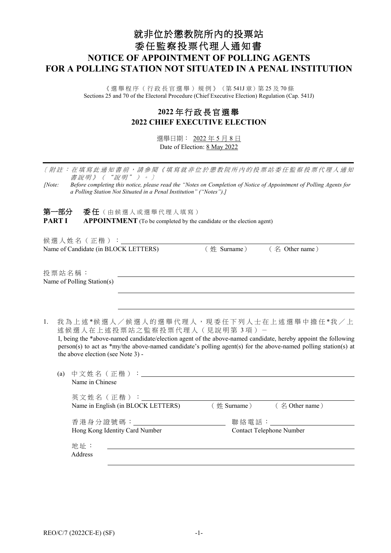# 就非位於懲教院所內的投票站 委任監察投票代理人通知書 **NOTICE OF APPOINTMENT OF POLLING AGENTS FOR A POLLING STATION NOT SITUATED IN A PENAL INSTITUTION**

《選舉程序(行政長官選舉)規例》(第541J章)第 25 及 70 條 Sections 25 and 70 of the Electoral Procedure (Chief Executive Election) Regulation (Cap. 541J)

## **2022** 年 行政長官選舉 **2022 CHIEF EXECUTIVE ELECTION**

選舉日期: 2022 年 5 月 8 日 Date of Election: 8 May 2022

〔附註:在填寫此通知書前,請參閱《填寫就非位於 懲教院所 內的投票站委任監察投票代理人通知 書說明》("說明")。〕

*[Note: Before completing this notice, please read the "Notes on Completion of Notice of Appointment of Polling Agents for a Polling Station Not Situated in a Penal Institution" ("Notes").]*

第一部分 委任(由候選人或選舉代理人填寫) **PART I APPOINTMENT** (To be completed by the candidate or the election agent)

候選人姓名(正楷): Name of Candidate (in BLOCK LETTERS) (# Surname) (名 Other name)

the above election (see Note 3) -

投票站名稱 : Name of Polling Station(s)

1. 我為上述\*候選人/候選人的選舉代理人,現委任下列人士在上述選舉中擔任\*我/上 述候選人在上述投票站之監察投票代理人 (見說明第3項) -I, being the \*above-named candidate/election agent of the above-named candidate, hereby appoint the following person(s) to act as \*my/the above-named candidate's polling agent(s) for the above-named polling station(s) at

| (a) | 中文姓名(正楷):_______________<br>Name in Chinese          |                                                   |
|-----|------------------------------------------------------|---------------------------------------------------|
|     | 英文姓名(正楷):<br>Name in English (in BLOCK LETTERS)      | $(\n# \text{ Sumame})$ $(\n4 \text{ Other name})$ |
|     | 香港身分證號碼:__________<br>Hong Kong Identity Card Number | 聯絡電話:___________<br>Contact Telephone Number      |
|     | 地址:<br>Address                                       |                                                   |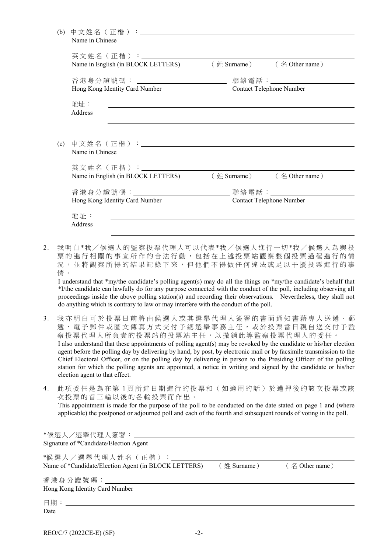|                                    | Name in English (in BLOCK LETTERS) (姓 Surname) (名 Other name) |                                           |
|------------------------------------|---------------------------------------------------------------|-------------------------------------------|
| 香港身分證號碼: _________________________ |                                                               | 聯絡電話: ___________                         |
| Hong Kong Identity Card Number     | Contact Telephone Number                                      |                                           |
| 地址:                                |                                                               |                                           |
| Address                            |                                                               |                                           |
|                                    |                                                               |                                           |
|                                    |                                                               |                                           |
| (c)<br>Name in Chinese             |                                                               |                                           |
|                                    |                                                               |                                           |
|                                    |                                                               |                                           |
| 英文姓名 (正楷) : _________              |                                                               |                                           |
| Name in English (in BLOCK LETTERS) |                                                               | $(\n# \text{ Sumame})$ $(\n4$ Other name) |
|                                    |                                                               |                                           |
| Hong Kong Identity Card Number     |                                                               | Contact Telephone Number                  |
| 地址:                                |                                                               |                                           |

2. 我 明 白 \*我 / 候選人的監察投票代理人可以代表 \*我 / 候選人進行一切 \*我 / 候 選 人為與投 票 的 進行相關 的 事宜所作的合法行動,包括在 上 述 投票站觀察整個投票過程進行的情 況,並將觀察所得的結果記錄下來,但他們不得做任何違法或足以干擾投票進行的事 情 。

I understand that \*my/the candidate's polling agent(s) may do all the things on \*my/the candidate's behalf that \*I/the candidate can lawfully do for any purpose connected with the conduct of the poll, including observing all proceedings inside the above polling station(s) and recording their observations. Nevertheless, they shall not do anything which is contrary to law or may interfere with the conduct of the poll.

- 3. 我 亦明白可於投票日前將由 候選人或其選舉代理人 簽署的書面通知 書 藉 專人送遞、郵 遞、電子郵件或圖文傳真方式交付予總選舉事務主任,或於投票當日親自送交付予監 察投票代理人所負責的投票站的投票站主任,以撤銷此等監察投票代理人的委任。 I also understand that these appointments of polling agent(s) may be revoked by the candidate or his/her election agent before the polling day by delivering by hand, by post, by electronic mail or by facsimile transmission to the Chief Electoral Officer, or on the polling day by delivering in person to the Presiding Officer of the polling station for which the polling agents are appointed, a notice in writing and signed by the candidate or his/her election agent to that effect.
- 4. 此項委任是為在第 1 頁所述日期進行的投票 和 (如適用的話)於遭押後的該次投票或該 次投票的首三輪以後的各輪投票而作出。

This appointment is made for the purpose of the poll to be conducted on the date stated on page 1 and (where applicable) the postponed or adjourned poll and each of the fourth and subsequent rounds of voting in the poll.

| *候選人/選舉代理人簽署:________________<br>Signature of *Candidate/Election Agent   |                 |                      |
|---------------------------------------------------------------------------|-----------------|----------------------|
| *候選人/選舉代理人姓名(正楷):<br>Name of *Candidate/Election Agent (in BLOCK LETTERS) | $(\n#$ Surname) | $($ $\&$ Other name) |
| 香港身分證號碼:_______________________<br>Hong Kong Identity Card Number         |                 |                      |
| Date                                                                      |                 |                      |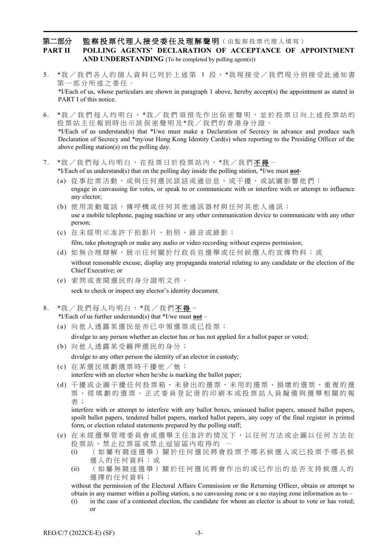### 第二部分 監察投票代理人接受委任及理解聲明(由監察投票代理人填寫) **PART II POLLING AGENTS' DECLARATION OF ACCEPTANCE OF APPOINTMENT** AND UNDERSTANDING (To be completed by polling agent(s))

- 5. \*我 / 我們各人的個人資料已列於上述第 1 段, \*我現接受 / 我們現分別接受此通知書 第一部分所述之委任。 \*I/Each of us, whose particulars are shown in paragraph 1 above, hereby accept(s) the appointment as stated in PART I of this notice.
- 6. \*我 / 我們每人均明白, \*我 / 我們須預先作出保密聲明, 並於投票日向上述投票站的 投票站主任報到時出示該保密聲明及\*我/我們的香港身分證。 \*I/Each of us understand(s) that \*I/we must make a Declaration of Secrecy in advance and produce such Declaration of Secrecy and \*my/our Hong Kong Identity Card(s) when reporting to the Presiding Officer of the above polling station(s) on the polling day.
- 7. \*我 / 我們每人均明白, 在投票日於投票站內, \*我 / 我們不得 -

\*I/Each of us understand(s) that on the polling day inside the polling station, \*I/we must **not**-

- (a) 從事拉票活動, 或與任何選民談話或通信息, 或干擾,或試圖影響他們; engage in canvassing for votes, or speak to or communicate with or interfere with or attempt to influence any elector;
- (b) 使用流動電話、傳呼機或任何 其 他 通 訊 器 材 與任何其他人 通訊; use a mobile telephone, paging machine or any other communication device to communicate with any other person;
- (c) 在未經 明示准 許 下 拍影片、拍照、錄音或錄影 ;

film, take photograph or make any audio or video recording without express permission;

- (d) 如 無合理辯解, 展示任何關於行政長官選舉或任何候選人的宣傳物 料 ; 或 without reasonable excuse, display any propaganda material relating to any candidate or the election of the Chief Executive; or
- (e) 索問或查閱選民的身分證明文件 。 seek to check or inspect any elector's identity document.
- 8. \*我/我們每人均明白, \*我/我們不得-

\*I/Each of us further understand(s) that \*I/we must **not** –

(a) 向他人透露某選民是否已申領選票或已投票;

divulge to any person whether an elector has or has not applied for a ballot paper or voted;

- (b) 向他人透露某受羈押選民的身 分 ; divulge to any other person the identity of an elector in custody;
- (c) 在某選民填劃選票時干擾他 / 她 ; interfere with an elector when he/she is marking the ballot paper;
- (d) 干擾或企圖干擾任何投票箱、 未發出的 選 票 、未用的選票、損壞的選票、重複的選 票、經填劃的選票、正式委員登記冊的印刷本或投票站人員擬備與選舉相關的報 表 ;

interfere with or attempt to interfere with any ballot boxes, unissued ballot papers, unused ballot papers, spoilt ballot papers, tendered ballot papers, marked ballot papers, any copy of the final register in printed form, or election related statements prepared by the polling staff;

- (e) 在未經選 舉 管 理委員 會或選舉主任准許的情況下,以任何方法或企圖以任何方法在 投票站、禁止拉票區或禁止逗留區內取得的
	- (i) ( 如 屬 有 競 逐 選 舉 ) 關 於 任 何 選 民 將 會 投 票 予 哪 名 候 選 人 或 已 投 票 予 哪 名 候 選人的任何資料;或
	- (ii) (如屬無 競逐選舉)關於任何選民將會作出的或已作出的是否支持候選人的 選擇的任何資料;

without the permission of the Electoral Affairs Commission or the Returning Officer, obtain or attempt to obtain in any manner within a polling station, a no canvassing zone or a no staying zone information as to –

(i) in the case of a contested election, the candidate for whom an elector is about to vote or has voted; or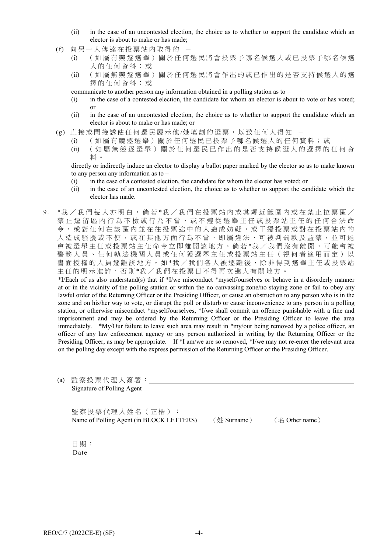- (ii) in the case of an uncontested election, the choice as to whether to support the candidate which an elector is about to make or has made;
- (f) 向另一人傳達在投票站內取得的
	- (i) (如屬有競逐選舉)關於任何選民將會投票予哪名候選人或已投票予哪名候選 人的任何資料;或
	- (ii) (如屬無競逐選舉)關於任何選民將會作出的或已作出的是否支持候選人的選 擇的任何資料;或
	- communicate to another person any information obtained in a polling station as to –
	- (i) in the case of a contested election, the candidate for whom an elector is about to vote or has voted; or
	- (ii) in the case of an uncontested election, the choice as to whether to support the candidate which an elector is about to make or has made; or
- (g) 直接或間接誘使任何選民展示他/她填劃的選票, 以致任何人得知
	- (i) (如屬有競逐選舉)關於任何選民已投票予哪名候選人的任何資料;或
	- (ii) (如屬無競逐選舉)關於任何選民已作出的是否支持候選人的選擇的任何資 料 。

directly or indirectly induce an elector to display a ballot paper marked by the elector so as to make known to any person any information as to –

- (i) in the case of a contested election, the candidate for whom the elector has voted; or
- (ii) in the case of an uncontested election, the choice as to whether to support the candidate which the elector has made.
- 9. \*我 / 我們每人亦明白,倘若 \*我 / 我們在投票站內或其鄰近範圍內或在禁止拉票區 / 禁止逗留區內行為不檢或行為不當,或不遵從選舉主任或投票站主任的任何合法命 令 , 或 對任何在該區內並在往投票途中的人造成妨礙 , 或 干擾投票或對在投票站內的 人造成騷擾或不便,或在其他方面行為不當,即屬違法,可被判罰款及監禁,並可能 會被選舉主任或投票站主任命令立即離開該地方。倘若\*我/我們沒有離開,可能會被 警務人員、任何執法機關人員或任何獲選舉主任或投票站主任(視何者適用而定)以 書面授權的人員逐離該地方。如\*我/我們各人被逐離後,除非得到選舉主任或投票站 主任的明示准許, 否則\*我/我們在投票日不得再次進入有關地方。

\*I/Each of us also understand(s) that if \*I/we misconduct \*myself/ourselves or behave in a disorderly manner at or in the vicinity of the polling station or within the no canvassing zone/no staying zone or fail to obey any lawful order of the Returning Officer or the Presiding Officer, or cause an obstruction to any person who is in the zone and on his/her way to vote, or disrupt the poll or disturb or cause inconvenience to any person in a polling station, or otherwise misconduct \*myself/ourselves, \*I/we shall commit an offence punishable with a fine and imprisonment and may be ordered by the Returning Officer or the Presiding Officer to leave the area immediately. \*My/Our failure to leave such area may result in \*my/our being removed by a police officer, an officer of any law enforcement agency or any person authorized in writing by the Returning Officer or the Presiding Officer, as may be appropriate. If \*I am/we are so removed, \*I/we may not re-enter the relevant area on the polling day except with the express permission of the Returning Officer or the Presiding Officer.

| (a) | 監察投票代理人簽署:                               |                                                         |  |
|-----|------------------------------------------|---------------------------------------------------------|--|
|     | Signature of Polling Agent               |                                                         |  |
|     |                                          |                                                         |  |
|     |                                          |                                                         |  |
|     | 監察投票代理人姓名 (正楷):                          |                                                         |  |
|     | Name of Polling Agent (in BLOCK LETTERS) | $(\frac{1}{2}$ Surname $)$ ( $\frac{2}{3}$ Other name ) |  |
|     |                                          |                                                         |  |
|     |                                          |                                                         |  |
|     | 日期:                                      |                                                         |  |
|     | Date                                     |                                                         |  |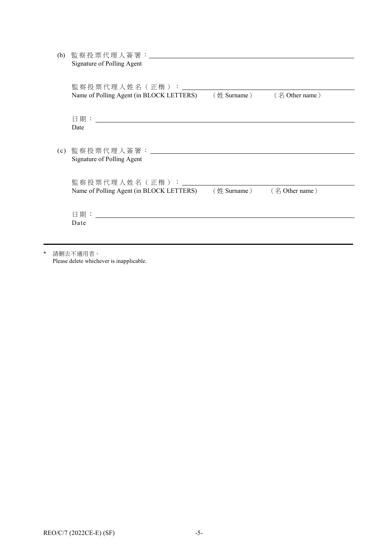| (b) | 監察投票代理人簽署: _______________________<br>Signature of Polling Agent                                                      |                                                           |  |
|-----|-----------------------------------------------------------------------------------------------------------------------|-----------------------------------------------------------|--|
|     | 監察投票代理人姓名(正楷):________<br>Name of Polling Agent (in BLOCK LETTERS) ( $\text{\#}$ Surname ) ( $\text{\#}$ Other name ) |                                                           |  |
|     | Date                                                                                                                  |                                                           |  |
|     | Signature of Polling Agent                                                                                            |                                                           |  |
|     | 監察投票代理人姓名(正楷):_______<br>Name of Polling Agent (in BLOCK LETTERS)                                                     | $(\frac{\text{#}Surname}{})$ $(\frac{\text{#}Surname}{})$ |  |
|     | Date                                                                                                                  |                                                           |  |

\* 請刪去不適用者。 Please delete whichever is inapplicable.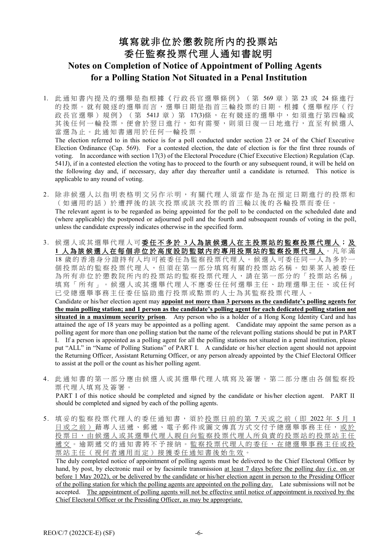# 填寫就非位於懲教院所內的投票站 委任監察投票代理人通知書說明 **Notes on Completion of Notice of Appointment of Polling Agents for a Polling Station Not Situated in a Penal Institution**

1. 此通知 書 內提及的 選 舉 是指根據《行政長官選舉條例》 ( 第 569 章 ) 第 23 或 24 條進行 的投票。就有競逐的選舉而言,選舉日期是指首三輪投票的日期。根據《選舉程序(行 政長官選舉)規例》(第 541J 章)第 17(3)條,在有競逐的選舉中,如須進行第四輪或 其後任何一輪投票,便會於翌日進行,如有需要,則須日復一日地進行,直至有候選人 當選為止。此通知書適用於任何一輪投票。

The election referred to in this notice is for a poll conducted under section 23 or 24 of the Chief Executive Election Ordinance (Cap. 569). For a contested election, the date of election is for the first three rounds of voting. In accordance with section 17(3) of the Electoral Procedure (Chief Executive Election) Regulation (Cap. 541J), if in a contested election the voting has to proceed to the fourth or any subsequent round, it will be held on the following day and, if necessary, day after day thereafter until a candidate is returned. This notice is applicable to any round of voting.

- 2. 除非候選人以指明表格明文另作示明,有關代理人須當作是為在預定日期進行的投票 和 (如適用的話) 於 遭 押後的該次投票或該次投票的首三輪以後的 各輪投票而委任。 The relevant agent is to be regarded as being appointed for the poll to be conducted on the scheduled date and (where applicable) the postponed or adjourned poll and the fourth and subsequent rounds of voting in the poll, unless the candidate expressly indicates otherwise in the specified form.
- 3. 候選人或其選舉代理人可 委任不 多 於 **3** 人為該候選人在主投票站的監察投票代理人 ; 及 1 人為該候選人在每個非位於高度設防監獄内的專用投票站的監察投票代理人。凡年滿 18 歲的香港身分證持有人均可被委任為監察投票代理人。候選人可委任同一人為多於一 個投票站的監察投票代理人,但須在第一部分填寫有關的投票站名稱。如果某人被委任 為所有非位於懲教院所內的投票站的監察投票代理人,請在第一部分的「投票站名稱」 填寫「所有」。候選人或其選舉代理人不應委任任何選舉主任、助理選舉主任、或任何 已受總選舉事務主任委任協助進行投票或點票的人士為其監察投票代理人。

Candidate or his/her election agent may **appoint not more than 3 persons as the candidate's polling agents for the main polling station; and 1 person as the candidate's polling agent for each dedicated polling station not situated in a maximum security prison**. Any person who is a holder of a Hong Kong Identity Card and has attained the age of 18 years may be appointed as a polling agent. Candidate may appoint the same person as a polling agent for more than one polling station but the name of the relevant polling stations should be put in PART I. If a person is appointed as a polling agent for all the polling stations not situated in a penal institution, please put "ALL" in "Name of Polling Stations" of PART I. A candidate or his/her election agent should not appoint the Returning Officer, Assistant Returning Officer, or any person already appointed by the Chief Electoral Officer to assist at the poll or the count as his/her polling agent.

4. 此 通 知 書 的 第一部分 應由候選人或 其 選舉代理人填 寫 及簽署。第二部分應由 各 個 監察投 票代理人填 寫 及簽署。 PART I of this notice should be completed and signed by the candidate or his/her election agent. PART II

should be completed and signed by each of the polling agents.

5. 填妥的監察投票代理人的委任通知書,須於投票日前的第7天或之前(即 2022年 5月 1 日或之前) 藉專人送遞、郵遞、電子郵件或圖文傳真方式交付予總選舉事務主任,或於 投票日,由候選人或其選舉代理人親自向監察投票代理人所負責的投票站的投票站主任 遞交。逾期遞交的通知書將不予接納。監察投票代理人的委任,在總選舉事務主任或投 票站主任(視何者適用而定)接獲委任通知 書 後始生效 。

The duly completed notice of appointment of polling agents must be delivered to the Chief Electoral Officer by hand, by post, by electronic mail or by facsimile transmission at least 7 days before the polling day (i.e. on or before 1 May 2022), or be delivered by the candidate or his/her election agent in person to the Presiding Officer of the polling station for which the polling agents are appointed on the polling day. Late submissions will not be accepted. The appointment of polling agents will not be effective until notice of appointment is received by the Chief Electoral Officer or the Presiding Officer, as may be appropriate.